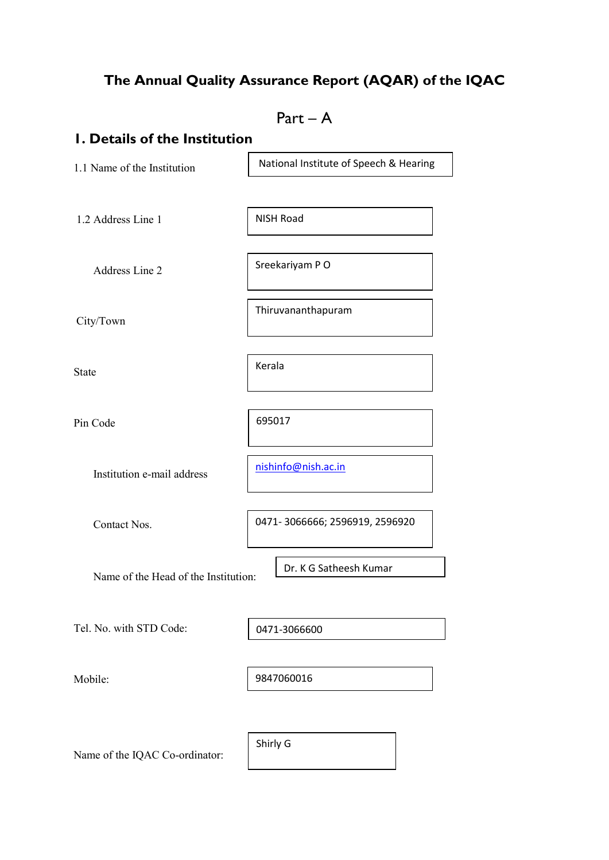## The Annual Quality Assurance Report (AQAR) of the IQAC

 $Part - A$ 1. Details of the Institution 1.1 Name of the Institution 1.2 Address Line 1 Address Line 2 City/Town State Pin Code Institution e-mail address Contact Nos. Name of the Head of the Institution: Tel. No. with STD Code: Mobile: Name of the IQAC Co-ordinator: 0471- 3066666; 2596919, 2596920 National Institute of Speech & Hearing NISH Road Sreekariyam P O Thiruvananthapuram Kerala 695017 nishinfo@nish.ac.in Dr. K G Satheesh Kumar 9847060016 0471-3066600 Shirly G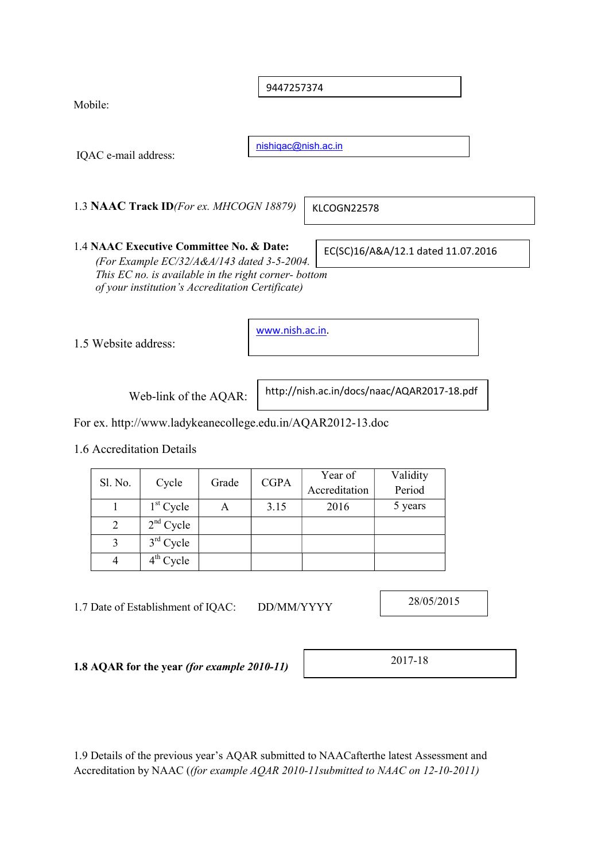9447257374

Mobile:

IQAC e-mail address:

nishiqac@nish.ac.in

1.3 NAAC Track ID(For ex. MHCOGN 18879)

KLCOGN22578

1.4 NAAC Executive Committee No. & Date: (For Example EC/32/A&A/143 dated 3-5-2004. This EC no. is available in the right corner- bottom of your institution's Accreditation Certificate)

1.5 Website address:

www.nish.ac.in.

Web-link of the AQAR:

http://nish.ac.in/docs/naac/AQAR2017-18.pdf

EC(SC)16/A&A/12.1 dated 11.07.2016

For ex. http://www.ladykeanecollege.edu.in/AQAR2012-13.doc

1.6 Accreditation Details

| Sl. No. | Cycle       | Grade | <b>CGPA</b> | Year of<br>Accreditation | Validity<br>Period |
|---------|-------------|-------|-------------|--------------------------|--------------------|
|         | $1st$ Cycle | А     | 3.15        | 2016                     | 5 years            |
|         | $2nd$ Cycle |       |             |                          |                    |
|         | $3rd$ Cycle |       |             |                          |                    |
|         | $4th$ Cycle |       |             |                          |                    |

1.7 Date of Establishment of IQAC: DD/MM/YYYY

28/05/2015

1.8 AQAR for the year (for example 2010-11)

2017-18

1.9 Details of the previous year's AQAR submitted to NAACafterthe latest Assessment and Accreditation by NAAC ((for example AQAR 2010-11submitted to NAAC on 12-10-2011)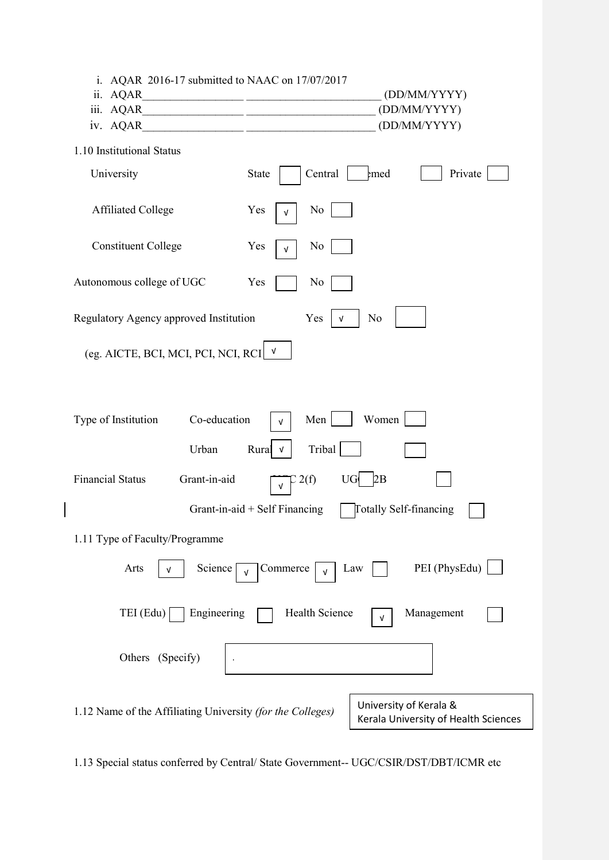| i. AQAR 2016-17 submitted to NAAC on $17/07/2017$<br>ii. AQAR<br>iii. AQAR<br>iv. AQAR                                       | (DD/MM/YYYY)<br>(DD/MM/YYYY)<br>(DD/MM/YYYY) |  |  |
|------------------------------------------------------------------------------------------------------------------------------|----------------------------------------------|--|--|
| 1.10 Institutional Status                                                                                                    |                                              |  |  |
| University                                                                                                                   | Central<br>Private<br>emed<br><b>State</b>   |  |  |
| <b>Affiliated College</b>                                                                                                    | Yes<br>No<br>V                               |  |  |
| <b>Constituent College</b>                                                                                                   | Yes<br>No<br>V                               |  |  |
| Autonomous college of UGC                                                                                                    | Yes<br>No                                    |  |  |
| Regulatory Agency approved Institution                                                                                       | Yes<br>No                                    |  |  |
| (eg. AICTE, BCI, MCI, PCI, NCI, RCI                                                                                          | $\mathbf{v}$                                 |  |  |
|                                                                                                                              |                                              |  |  |
| Co-education<br>Type of Institution                                                                                          | Women<br>Men<br>$\sqrt{ }$                   |  |  |
| Urban                                                                                                                        | Tribal<br>Rural<br>$\sqrt{ }$                |  |  |
| Grant-in-aid<br><b>Financial Status</b>                                                                                      | 2(f)<br>UG<br>2B<br>$\sqrt{ }$               |  |  |
| Grant-in-aid + Self Financing<br>Totally Self-financing                                                                      |                                              |  |  |
| 1.11 Type of Faculty/Programme                                                                                               |                                              |  |  |
| PEI (PhysEdu)<br>Arts<br>Science<br>Commerce<br>Law<br>ν<br>$\sqrt{ }$<br>$\sqrt{ }$                                         |                                              |  |  |
| Engineering<br>Health Science<br>TEI (Edu)<br>Management<br>V                                                                |                                              |  |  |
| Others (Specify)                                                                                                             |                                              |  |  |
| University of Kerala &<br>1.12 Name of the Affiliating University (for the Colleges)<br>Kerala University of Health Sciences |                                              |  |  |

 $\begin{array}{c} \hline \end{array}$ 

1.13 Special status conferred by Central/ State Government-- UGC/CSIR/DST/DBT/ICMR etc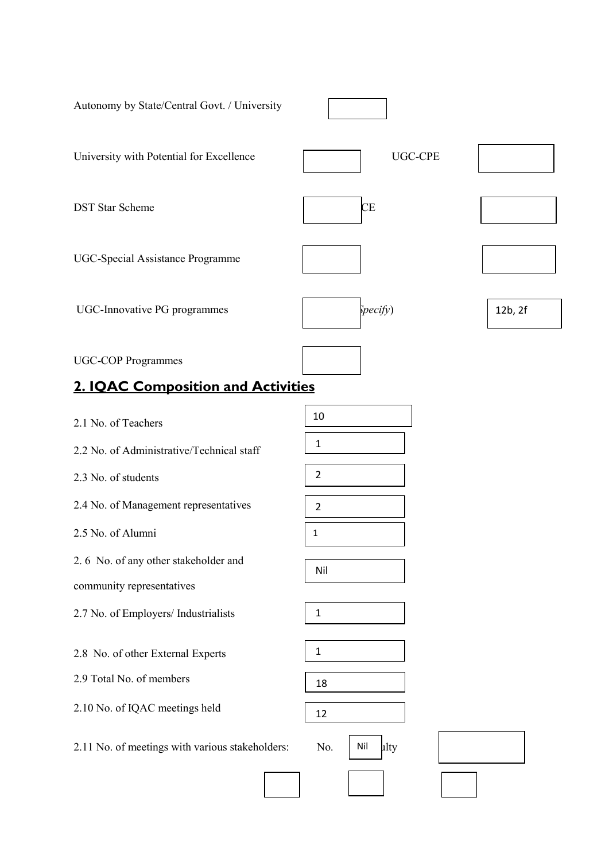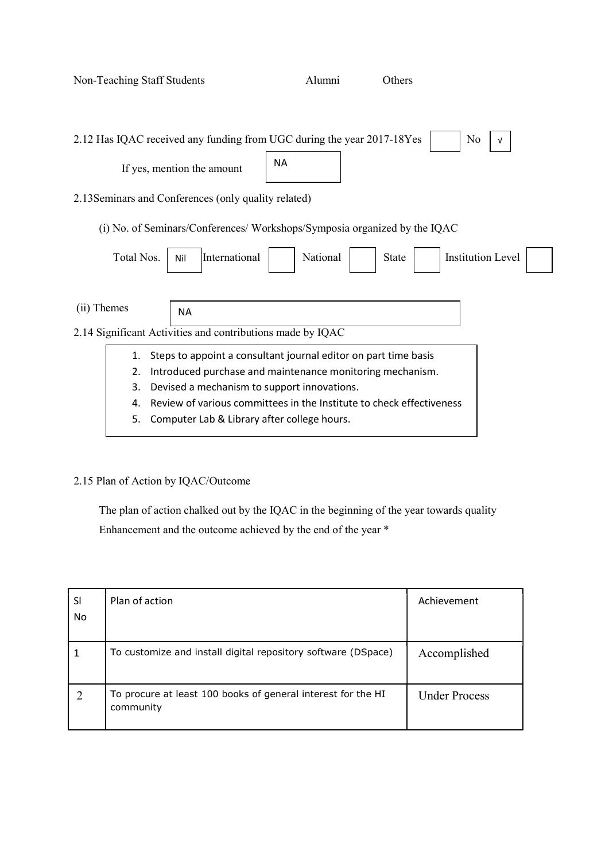| Non-Teaching Staff Students                                                            | Alumni                                                               | Others       |                          |
|----------------------------------------------------------------------------------------|----------------------------------------------------------------------|--------------|--------------------------|
| 2.12 Has IQAC received any funding from UGC during the year 2017-18Yes                 |                                                                      |              | No<br>v                  |
| If yes, mention the amount                                                             | <b>NA</b>                                                            |              |                          |
| 2.13 Seminars and Conferences (only quality related)                                   |                                                                      |              |                          |
| (i) No. of Seminars/Conferences/Workshops/Symposia organized by the IQAC               |                                                                      |              |                          |
| Total Nos.<br>International<br>Nil                                                     | National                                                             | <b>State</b> | <b>Institution Level</b> |
| (ii) Themes<br><b>NA</b><br>2.14 Significant Activities and contributions made by IQAC |                                                                      |              |                          |
| 1.                                                                                     | Steps to appoint a consultant journal editor on part time basis      |              |                          |
| 2.                                                                                     | Introduced purchase and maintenance monitoring mechanism.            |              |                          |
| 3.                                                                                     | Devised a mechanism to support innovations.                          |              |                          |
| 4.                                                                                     | Review of various committees in the Institute to check effectiveness |              |                          |
| 5.                                                                                     | Computer Lab & Library after college hours.                          |              |                          |

## 2.15 Plan of Action by IQAC/Outcome

 The plan of action chalked out by the IQAC in the beginning of the year towards quality Enhancement and the outcome achieved by the end of the year \*

| SI<br>No. | Plan of action                                                            | Achievement          |
|-----------|---------------------------------------------------------------------------|----------------------|
| 1         | To customize and install digital repository software (DSpace)             | Accomplished         |
|           | To procure at least 100 books of general interest for the HI<br>community | <b>Under Process</b> |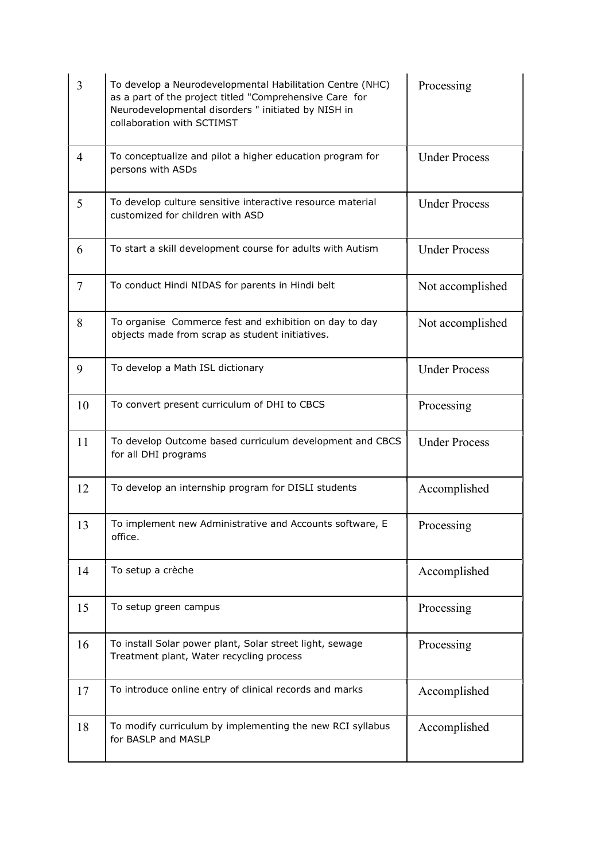| 3              | To develop a Neurodevelopmental Habilitation Centre (NHC)<br>as a part of the project titled "Comprehensive Care for<br>Neurodevelopmental disorders " initiated by NISH in<br>collaboration with SCTIMST | Processing           |
|----------------|-----------------------------------------------------------------------------------------------------------------------------------------------------------------------------------------------------------|----------------------|
| $\overline{4}$ | To conceptualize and pilot a higher education program for<br>persons with ASDs                                                                                                                            | <b>Under Process</b> |
| 5              | To develop culture sensitive interactive resource material<br>customized for children with ASD                                                                                                            | <b>Under Process</b> |
| 6              | To start a skill development course for adults with Autism                                                                                                                                                | <b>Under Process</b> |
| $\tau$         | To conduct Hindi NIDAS for parents in Hindi belt                                                                                                                                                          | Not accomplished     |
| 8              | To organise Commerce fest and exhibition on day to day<br>objects made from scrap as student initiatives.                                                                                                 | Not accomplished     |
| 9              | To develop a Math ISL dictionary                                                                                                                                                                          | <b>Under Process</b> |
| 10             | To convert present curriculum of DHI to CBCS                                                                                                                                                              | Processing           |
| 11             | To develop Outcome based curriculum development and CBCS<br>for all DHI programs                                                                                                                          | <b>Under Process</b> |
| 12             | To develop an internship program for DISLI students                                                                                                                                                       | Accomplished         |
| 13             | To implement new Administrative and Accounts software, E<br>office.                                                                                                                                       | Processing           |
| 14             | To setup a crèche                                                                                                                                                                                         | Accomplished         |
| 15             | To setup green campus                                                                                                                                                                                     | Processing           |
| 16             | To install Solar power plant, Solar street light, sewage<br>Treatment plant, Water recycling process                                                                                                      | Processing           |
| 17             | To introduce online entry of clinical records and marks                                                                                                                                                   | Accomplished         |
| 18             | To modify curriculum by implementing the new RCI syllabus<br>for BASLP and MASLP                                                                                                                          | Accomplished         |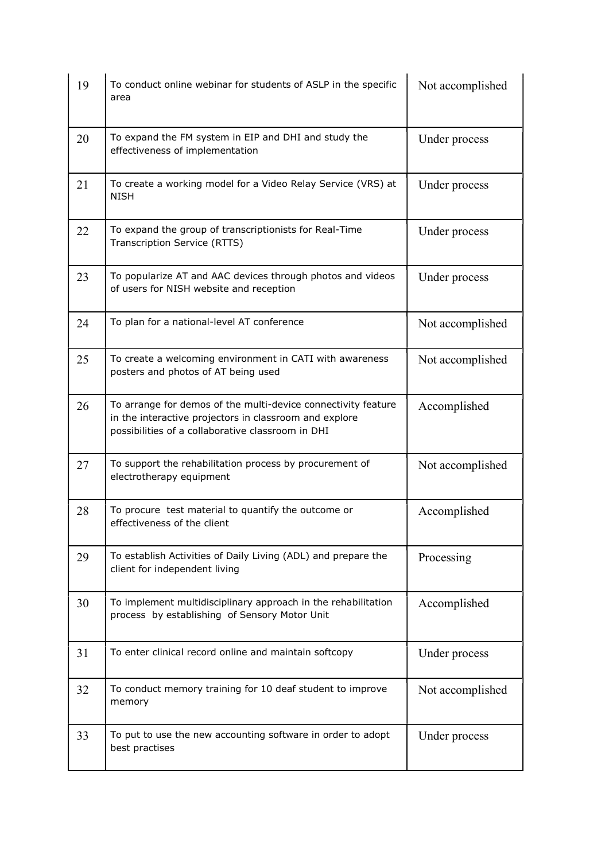| 19 | To conduct online webinar for students of ASLP in the specific<br>area                                                                                                       | Not accomplished |
|----|------------------------------------------------------------------------------------------------------------------------------------------------------------------------------|------------------|
| 20 | To expand the FM system in EIP and DHI and study the<br>effectiveness of implementation                                                                                      | Under process    |
| 21 | To create a working model for a Video Relay Service (VRS) at<br><b>NISH</b>                                                                                                  | Under process    |
| 22 | To expand the group of transcriptionists for Real-Time<br>Transcription Service (RTTS)                                                                                       | Under process    |
| 23 | To popularize AT and AAC devices through photos and videos<br>of users for NISH website and reception                                                                        | Under process    |
| 24 | To plan for a national-level AT conference                                                                                                                                   | Not accomplished |
| 25 | To create a welcoming environment in CATI with awareness<br>posters and photos of AT being used                                                                              | Not accomplished |
| 26 | To arrange for demos of the multi-device connectivity feature<br>in the interactive projectors in classroom and explore<br>possibilities of a collaborative classroom in DHI | Accomplished     |
| 27 | To support the rehabilitation process by procurement of<br>electrotherapy equipment                                                                                          | Not accomplished |
| 28 | To procure test material to quantify the outcome or<br>effectiveness of the client                                                                                           | Accomplished     |
| 29 | To establish Activities of Daily Living (ADL) and prepare the<br>client for independent living                                                                               | Processing       |
| 30 | To implement multidisciplinary approach in the rehabilitation<br>process by establishing of Sensory Motor Unit                                                               | Accomplished     |
| 31 | To enter clinical record online and maintain softcopy                                                                                                                        | Under process    |
| 32 | To conduct memory training for 10 deaf student to improve<br>memory                                                                                                          | Not accomplished |
| 33 | To put to use the new accounting software in order to adopt<br>best practises                                                                                                | Under process    |